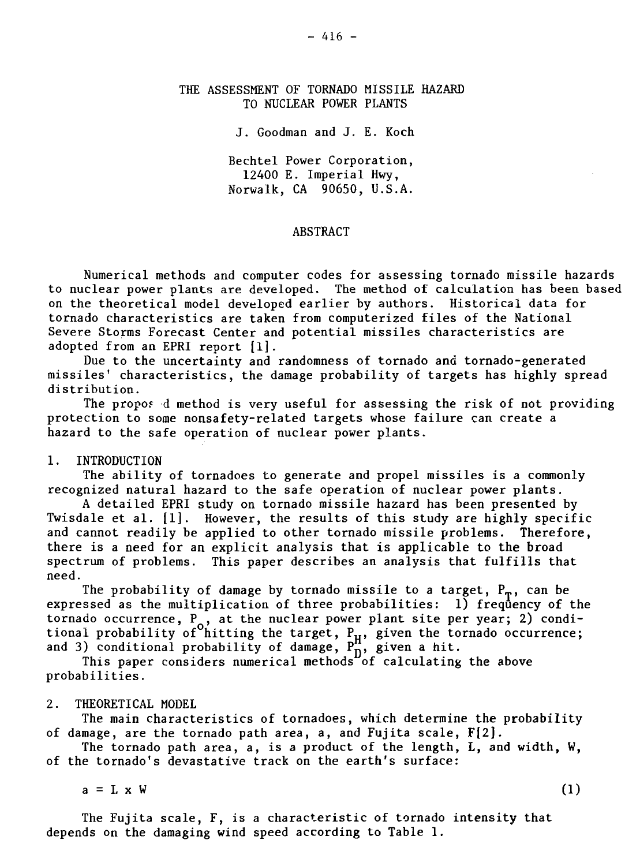# THE ASSESSMENT OF TORNADO MISSILE HAZARD TO NUCLEAR POWER PLANTS

J. Goodman and J. E. Koch

Bechtel Power Corporation, 12400 E. Imperial Hwy, Norwalk, CA 90650, U.S.A.

#### ABSTRACT

Numerical methods and computer codes for assessing tornado missile hazards to nuclear power plants are developed. The method of calculation has been based on the theoretical model developed earlier by authors. Historical data for tornado characteristics are taken from computerized files of the National Severe Storms Forecast Center and potential missiles characteristics are adopted from an EPRI report [1].

Due to the uncertainty and randomness of tornado and tornado-generated missiles' characteristics, the damage probability of targets has highly spread distribution.

The propof d method is very useful for assessing the risk of not providing protection to some nonsafety-related targets whose failure can create a hazard to the safe operation of nuclear power plants.

## 1. INTRODUCTION

The ability of tornadoes to generate and propel missiles is a commonly recognized natural hazard to the safe operation of nuclear power plants.

A detailed EPRI study on tornado missile hazard has been presented by Twisdale et al. [1]. However, the results of this study are highly specific and cannot readily be applied to other tornado missile problems. Therefore, there is a need for an explicit analysis that is applicable to the broad spectrum of problems. This paper describes an analysis that fulfills that need.

The probability of damage by tornado missile to a target,  $P_m$ , can be expressed as the multiplication of three probabilities: 1) frequency of the tornado occurrence, P<sub>2</sub>, at the nuclear power plant site per year; 2) conditional probability of hitting the target,  $P_{\text{tr}}$ , given the tornado occurrence; and 3) conditional probability of damage,  $P_n^{\prime\prime}$ , given a hit.

This paper considers numerical methods of calculating the above probabilities.

# 2. THEORETICAL MODEL

The main characteristics of tornadoes, which determine the probability of damage, are the tornado path area, a, and Fujita scale, F[2].

The tornado path area, a, is a product of the length, L, and width. W. of the tornado's devastative track on the earth's surface:

 $a = L \times W$  (1)

The Fujita scale, F, is a characteristic of tornado intensity that depends on the damaging wind speed according to Table 1.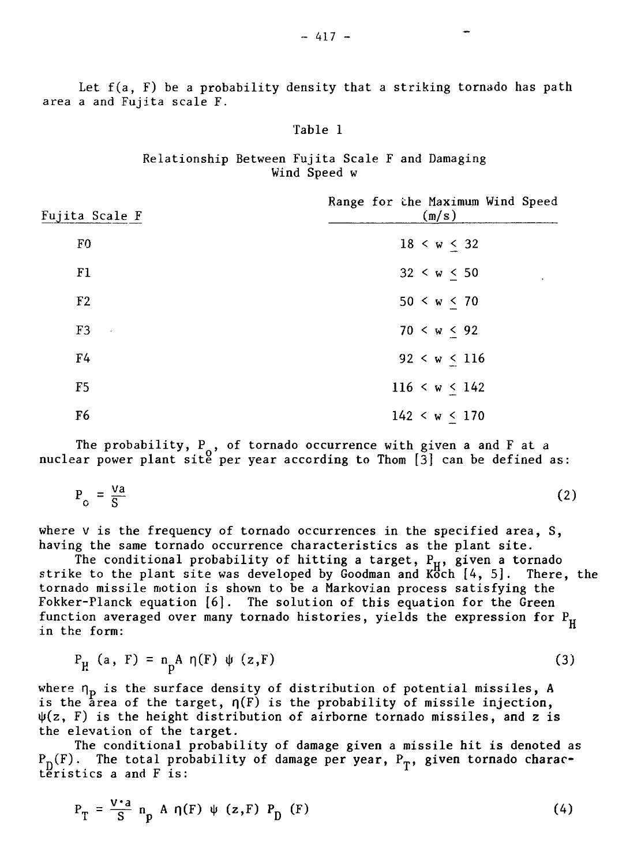Let f(a, F) be a probability density that a striking tornado has path area a and Fujita scale F.

### Table 1

# Relationship Between Fujita Scale F and Damaging Wind Speed w

| Fujita Scale F      | Range for the Maximum Wind Speed<br>(m/s) |
|---------------------|-------------------------------------------|
| F0                  | 18 < w < 32                               |
| F1                  | 32 < w < 50                               |
| F <sub>2</sub>      | 50 < w < 70                               |
| F3<br>$\sim$ $\sim$ | 70 < w < 92                               |
| F <sub>4</sub>      | 92 < w < 116                              |
| F <sub>5</sub>      | 116 < w < 142                             |
| F <sub>6</sub>      | 142 < w < 170                             |

The probability,  $P_{\sim}$ , of tornado occurrence with given a and F at a nuclear power plant sitĕ per year according to Thom [3] can be defined as:

$$
P_o = \frac{Va}{S}
$$
 (2)

where  $v$  is the frequency of tornado occurrences in the specified area,  $S$ , having the same tornado occurrence characteristics as the plant site.

The conditional probability of hitting a target,  ${\rm P}_{\rm H}$ , given a tornado strike to the plant site was developed by Goodman and Köch [4, 5]. There, the tornado missile motion is shown to be a Markovian process satisfying the Fokker-Planck equation [6]. The solution of this equation for the Green function averaged over many tornado histories, yields the expression for  $P_H$ in the form:

$$
P_{\mu} \quad (a, \ F) = n_{\text{D}} A \eta(F) \psi(z, F) \tag{3}
$$

where  $\bm{{\mathsfeta}}_{\bf p}$  is the surface density of distribution of potential missiles, A is the area of the target,  $\eta(F)$  is the probability of missile injection,  $\psi(z, F)$  is the height distribution of airborne tornado missiles, and z is the elevation of the target.

The conditional probability of damage given a missile hit is denoted as  $P_n(F)$ . The total probability of damage per year,  $P_n$ , given tornado characteristics a and  $\overline{F}$  is:

$$
P_T = \frac{V \cdot a}{S} n_p A \eta(F) \psi(z, F) P_D(F)
$$
 (4)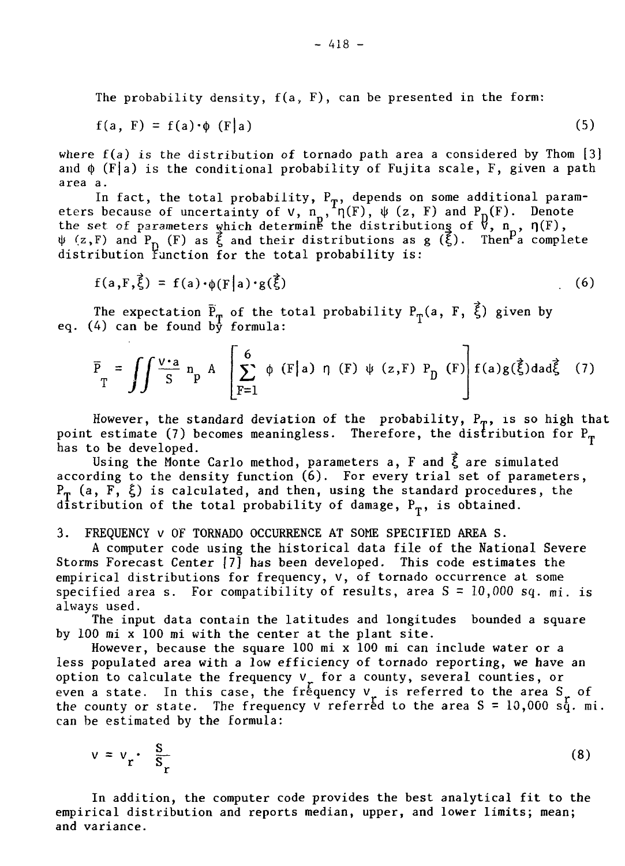The probability density,  $f(a, F)$ , can be presented in the form:

$$
f(a, F) = f(a) \cdot \phi(F|a)
$$
 (5)

where  $f(a)$  is the distribution of tornado path area a considered by Thom  $[3]$ and  $\phi$  (F|a) is the conditional probability of Fujita scale, F, given a path area a.

In fact, the total probability,  $\mathtt{P}_\mathbf{m},$  depends on some additional parameters because of uncertainty of **v**,  $n_{\pi}$ ,  $\eta(F)$ ,  $\psi$  (z, F) and  $P_n(F)$ . Denote the set of parameters which determine the distributions of  $\nabla$ ,  $\mathbf{n}_{\mathbf{x}}$ ,  $\boldsymbol{\eta}(\mathbf{F})$ ,  $\psi$  (z,F) and  ${\rm P}_{\rm n}$  (F) as  $\xi$  and their distributions as g (ξ). Then $^{\prime}$ a complete distribution function for the total probability is:

$$
f(a, F, \vec{\xi}) = f(a) \cdot \phi(F|a) \cdot g(\vec{\xi})
$$
 (6)

The expectation  $\mathtt{P}_{_{\mathbf{T}}}$  of the total probability  $\mathtt{P}_{_{\mathbf{T}}}(a\,,\,\,\mathtt{F},\,\,\xi)$  given by eq. (4) can be found by formula:

$$
\overline{P}_{T} = \iint \frac{v \cdot a}{S} n_{p} A \left[ \sum_{F=1}^{6} \phi(F|a) \eta(F) \psi(z, F) P_{D}(F) \right] f(a) g(\vec{\xi}) da d\vec{\xi} \quad (7)
$$

However, the standard deviation of the probability,  $P_{\eta}$ , is so high that point estimate (7) becomes meaningless. Therefore, the distribution for  $P_{\text{T}}$ has to be developed.

Using the Monte Carlo method, parameters a, F and  $\vec{\xi}$  are simulated according to the density function  $(6)$ . For every trial set of parameters,  $P_{\text{T}}$  (a, F,  $\xi$ ) is calculated, and then, using the standard procedures, the distribution of the total probability of damage,  $P_T$ , is obtained.

3. FREQUENCY V OF TORNADO OCCURRENCE AT SOME SPECIFIED AREA S.

A computer code using the historical data file of the National Severe Storms Forecast Center [7] has been developed. This code estimates the empirical distributions for frequency, v, of tornado occurrence at some specified area s. For compatibility of results, area  $S = 10,000$  sq. mi. is always used.

The input data contain the latitudes and longitudes bounded a square by 100 mi x 100 mi with the center at the plant site.

However, because the square 100 mi x 100 mi can include water or a less populated area with a low efficiency of tornado reporting, we have an option to calculate the frequency  $v_r$  for a county, several counties, or even a state. In this case, the frequency  $v_n$  is referred to the area S<sub>n</sub> of the county or state. The frequency v referred to the area  $S = 10,000$  sq. mi. can be estimated by the formula:

$$
v = v_r \cdot \frac{S}{S_r} \tag{8}
$$

In addition, the computer code provides the best analytical fit to the empirical distribution and reports median, upper, and lower limits; mean; and variance.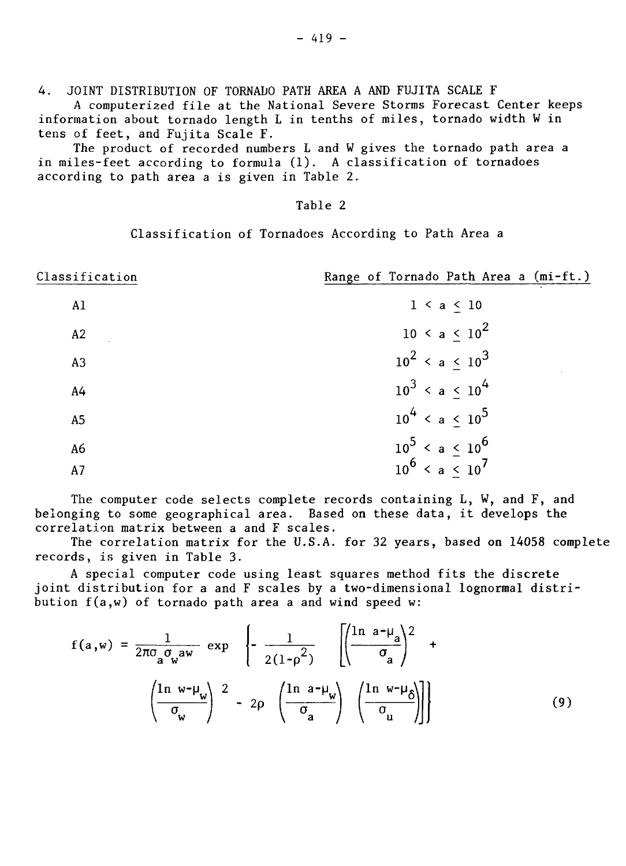4. JOINT DISTRIBUTION OF TORNADO PATH AREA A AND FUJITA SCALE F

A computerized file at the National Severe Storms Forecast Center keeps information about tornado length L in tenths of miles, tornado width W in tens of feet, and Fujita Scale F.

The product of recorded numbers L and W gives the tornado path area a in miles-feet according to formula (1). A classification of tornadoes<br>according to path area a is given in Table 2.

# Table 2

Classification of Tornadoes According to Path Area a

| Classification | Range of Tornado Path Area a (mi-ft.) |
|----------------|---------------------------------------|
| A1             | $1 \le a \le 10$                      |
| A2             | $10 \le a \le 10^2$                   |
| A3             | $10^2$ < a < $10^3$                   |
| A <sub>4</sub> | $10^3$ < a < $10^4$                   |
| A <sub>5</sub> | $10^4$ < a < $10^5$                   |
| A6             | $10^5$ < a < $10^6$                   |
| A7             | $10^6$ < a < $10^7$                   |

The computer code selects complete records containing  $L$ ,  $W$ , and  $F$ , and belonging to some geographical area. Based on these data, it develops the correlation matrix between a and F scales.

The correlation matrix for the U.S.A. for 32 years, based on 14058 complete records, is given in Table 3.

A special computer code using least squares method fits the discrete joint distribution for a and F scales by a two-dimensional lognormal distribution f(a,w) of tornado path area a and wind speed w:

$$
f(a, w) = \frac{1}{2\pi\sigma_a \sigma_w a w} \exp \left\{-\frac{1}{2(1-\rho^2)} \left[ \left(\frac{\ln a - \mu_a}{\sigma_a}\right)^2 + \left(\frac{\ln w - \mu_w}{\sigma_w}\right)^2 - 2\rho \left(\frac{\ln a - \mu_w}{\sigma_a}\right)^2 \left(\frac{\ln w - \mu_b}{\sigma_u}\right) \right] \right\}
$$
(9)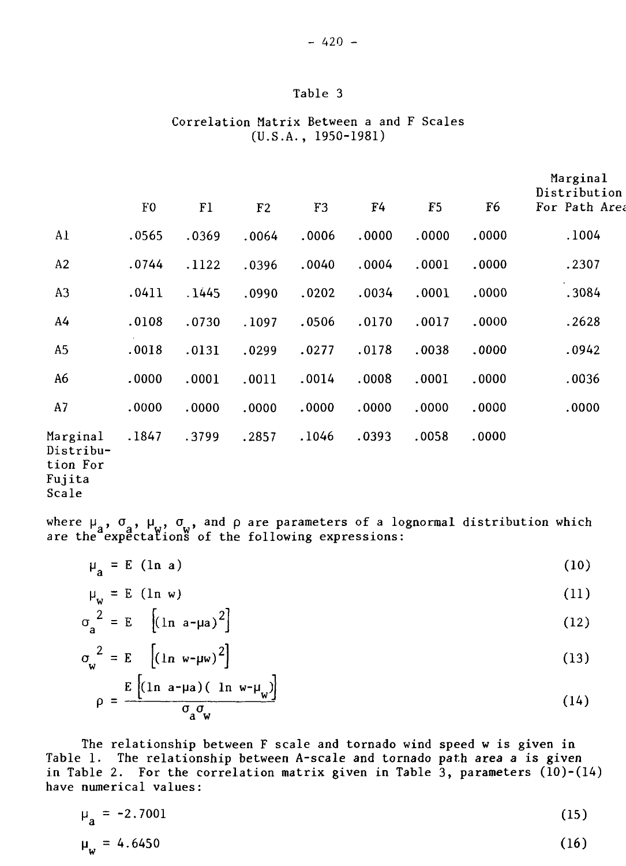# Table 3

# Correlation Matrix Between a and F Scales (U.S.A., 1950-1981)

|                                                      | F0    | F1    | F <sub>2</sub> | F3    | F4    | F <sub>5</sub> | F <sub>6</sub> | Marginal<br>Distribution<br>For Path Area |
|------------------------------------------------------|-------|-------|----------------|-------|-------|----------------|----------------|-------------------------------------------|
| Al                                                   | .0565 | .0369 | .0064          | .0006 | .0000 | .0000          | .0000          | .1004                                     |
| A2                                                   | .0744 | .1122 | .0396          | .0040 | .0004 | .0001          | .0000          | .2307                                     |
| A <sub>3</sub>                                       | .0411 | .1445 | .0990          | .0202 | .0034 | .0001          | .0000          | .3084                                     |
| A <sub>4</sub>                                       | .0108 | .0730 | .1097          | .0506 | .0170 | .0017          | .0000          | .2628                                     |
| A <sub>5</sub>                                       | .0018 | .0131 | .0299          | .0277 | .0178 | .0038          | .0000          | .0942                                     |
| A6                                                   | .0000 | .0001 | .0011          | .0014 | .0008 | .0001          | .0000          | .0036                                     |
| A7                                                   | .0000 | .0000 | .0000          | .0000 | .0000 | .0000          | .0000          | .0000                                     |
| Marginal<br>Distribu-<br>tion For<br>Fujita<br>Scale | .1847 | .3799 | .2857          | .1046 | .0393 | .0058          | .0000          |                                           |

where  $\mu$  ,  $\sigma$  ,  $\mu$  ,  $\sigma$  , and  $\rho$  are parameters of a lognormal distribution which are the expectations of the following expressions:

$$
\mu_a = E \quad (\ln a) \tag{10}
$$

$$
\mu_{\omega} = E \quad (\ln \, w) \tag{11}
$$

$$
\sigma_a^2 = E \quad \left[ (\ln a - \mu a)^2 \right] \tag{12}
$$

$$
\sigma_{\mathbf{w}}^2 = \mathbf{E} \left[ (\ln \mathbf{w} - \mu \mathbf{w})^2 \right] \tag{13}
$$

$$
\rho = \frac{E\left[ (\ln a - \mu a)(\ln w - \mu_w) \right]}{\sigma_a \sigma_w} \tag{14}
$$

The relationship between F scale and tornado wind speed w is given in Table 1. The relationship between A-scale and tornado path area a is given in Table 2. For the correlation matrix given in Table 3, parameters (10)-(14) have numerical values:

$$
\mu_a = -2.7001 \tag{15}
$$
\n
$$
\mu_w = 4.6450 \tag{16}
$$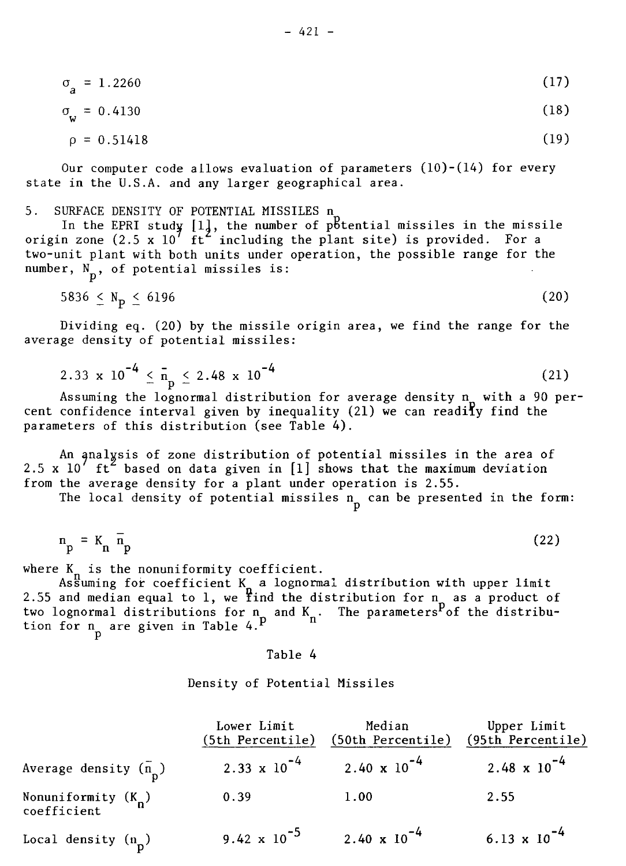$$
\rho = 0.51418 \tag{19}
$$

Our computer code allows evaluation of parameters  $(10)-(14)$  for every state in the U.S.A. and any larger geographical area.

5. SURFACE DENSITY OF POTENTIAL MISSILES n

In the EPRI study  $\left\lfloor 1\right\rfloor$ , the number of p $6$ tential missiles in the missile origin zone (2.5 x 10' ft" including the plant site) is provided. For a two-unit plant with both units under operation, the possible range for the number,  $N_p$ , of potential missiles is:

 $5836 \le N_p \le 6196$  (20)

Dividing eq. (20) by the missile origin area, we find the range for the average density of potential missiles:

$$
2.33 \times 10^{-4} \leq \bar{n}_{p} \leq 2.48 \times 10^{-4}
$$
 (21)

Assuming the lognormal distribution for average density n with a 90 percent confidence interval given by inequality (21) we can readity find the cent confidence interval given by inequality  $(z)$  we can readily find the readily find the readily  $\phi(z)$ parameters of this distribution (see Table 4).

An analvsis of zone distribution of potential missiles in the area of 2.5 x  $10\degree$  ft $\degree$  based on data given in  $[1]$  shows that the maximum deviation from the average density for a plant under operation is 2.55.

The local density of potential missiles  $n_n$  can be presented in the form:

$$
n_p = K_n \bar{n}_p \tag{22}
$$

where  $K_n$  is the nonuniformity coefficient.

As $\widetilde{\mathsf{s}}$ uming for coefficient  $\mathsf{K}_{_\mathbf{a}}$  a lognormal distribution with upper limit 2.55 and median equal to  ${\bf l}$ , we find the distribution for  ${\bf n}$  as a product of two lognormal distributions for n\_ and K . The parameters<sup>r</sup>of the distribution for n are given in Table 4.

#### Table 4

#### Density of Potential Missiles

|                                      | Lower Limit<br>(5th Percentile) | Median<br>(50th Percentile) | Upper Limit<br>(95th Percentile) |
|--------------------------------------|---------------------------------|-----------------------------|----------------------------------|
| Average density $(n_n)$              | $2.33 \times 10^{-4}$           | $2.40 \times 10^{-4}$       | 2.48 $\times$ 10 <sup>-4</sup>   |
| Nonuniformity $(K_n)$<br>coefficient | 0.39                            | 1.00                        | 2.55                             |
| Local density $(n_n)$                | 9.42 $\times$ 10 <sup>-5</sup>  | $2.40 \times 10^{-4}$       | 6.13 $\times$ 10 <sup>-4</sup>   |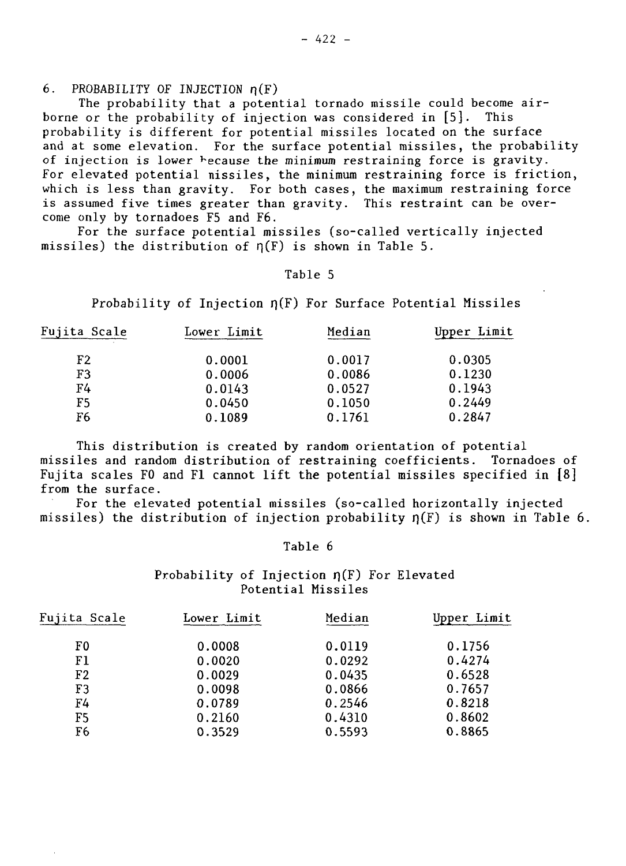6. PROBABILITY OF INJECTION  $n(F)$ 

The probability that a potential tornado missile could become airborne or the probability of injection was considered in [5]. This probability is different for potential missiles located on the surface and at some elevation. For the surface potential missiles, the probability of injection is lower because the minimum restraining force is gravity. For elevated potential nissiles, the minimum restraining force is friction, which is less than gravity. For both cases, the maximum restraining force is assumed five times greater than gravity. This restraint can be overcome only by tornadoes F5 and F6.

For the surface potential missiles (so-called vertically injected missiles) the distribution of  $n(F)$  is shown in Table 5.

### Table 5

Probability of Injection  $\eta(F)$  For Surface Potential Missiles

| Fujita Scale | Lower Limit | Median | Upper Limit |  |
|--------------|-------------|--------|-------------|--|
| F2           | 0.0001      | 0.0017 | 0.0305      |  |
| F3           | 0.0006      | 0.0086 | 0.1230      |  |
| F4           | 0.0143      | 0.0527 | 0.1943      |  |
| F5           | 0.0450      | 0.1050 | 0.2449      |  |
| F6           | 0.1089      | 0.1761 | 0.2847      |  |

This distribution is created by random orientation of potential missiles and random distribution of restraining coefficients. Tornadoes of Fujita scales F0 and Fl cannot lift the potential missiles specified in [8] from the surface.

For the elevated potential missiles (so-called horizontally injected missiles) the distribution of injection probability  $p(F)$  is shown in Table 6.

Table 6

Probability of Injection  $\eta(F)$  For Elevated Potential Missiles

| Fujita Scale   | Lower Limit | Median | Upper Limit |  |
|----------------|-------------|--------|-------------|--|
| F0             | 0.0008      | 0.0119 | 0.1756      |  |
| F1             | 0.0020      | 0.0292 | 0.4274      |  |
| F2             | 0.0029      | 0.0435 | 0.6528      |  |
| F3             | 0.0098      | 0.0866 | 0.7657      |  |
| F4             | 0.0789      | 0.2546 | 0.8218      |  |
| F5             | 0.2160      | 0.4310 | 0.8602      |  |
| F <sub>6</sub> | 0.3529      | 0.5593 | 0.8865      |  |
|                |             |        |             |  |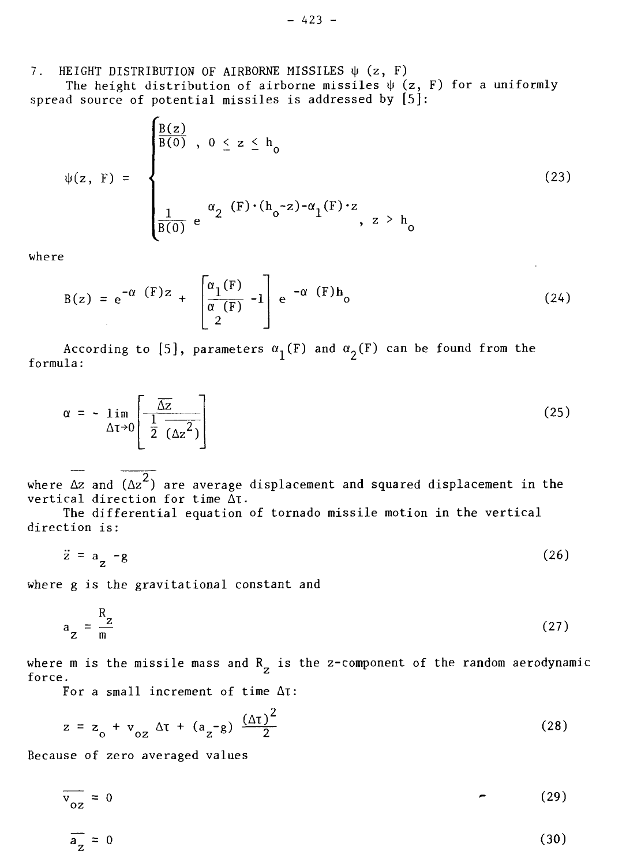7. HEIGHT DISTRIBUTION OF AIRBORNE MISSILES  $\psi$  (z, F)

The height distribution of airborne missiles  $\psi$  (z, F) for a uniformly spread source of potential missiles is addressed by [5]:

$$
\psi(z, \mathbf{F}) = \begin{cases} \frac{B(z)}{B(0)}, & 0 \le z \le h_0 \\ & \\ \frac{1}{B(0)} e^{-\alpha} 2^{(F) \cdot (h_0 - z) - \alpha} 1^{(F) \cdot z}, & z > h_0 \end{cases}
$$
(23)

where

$$
B(z) = e^{-\alpha (F)z} + \left[\frac{\alpha_1(F)}{\alpha (F)} - 1\right] e^{-\alpha (F)h} (24)
$$

According to [5], parameters  $\alpha_1(F)$  and  $\alpha_2(F)$  can be found from the formula:

$$
\alpha = -\lim_{\Delta t \to 0} \left[ \frac{\overline{\Delta z}}{\frac{1}{2} (\Delta z^2)} \right]
$$
 (25)

where  $\Delta z$  and  $(\Delta z^2)$  are average displacement and squared displacement in the vertical direction for time  $\tilde{\Delta}$ t.

The differential equation of tornado missile motion in the vertical direction is:

 $\ddot{z} = a_{7} - g$  (26)

where g is the gravitational constant and

$$
a_{Z} = \frac{R_{Z}}{m}
$$
 (27)

where m is the missile mass and  $R_{Z}$  is the z-component of the random aerodynamic force.

For a small increment of time At:

$$
z = z_0 + v_{oz} \Delta \tau + (a_z - g) \frac{(\Delta \tau)^2}{2}
$$
 (28)

Because of zero averaged values

$$
\overline{\mathbf{v}_{oz}} = 0 \tag{29}
$$

$$
\overline{a}_{\overline{z}} = 0 \tag{30}
$$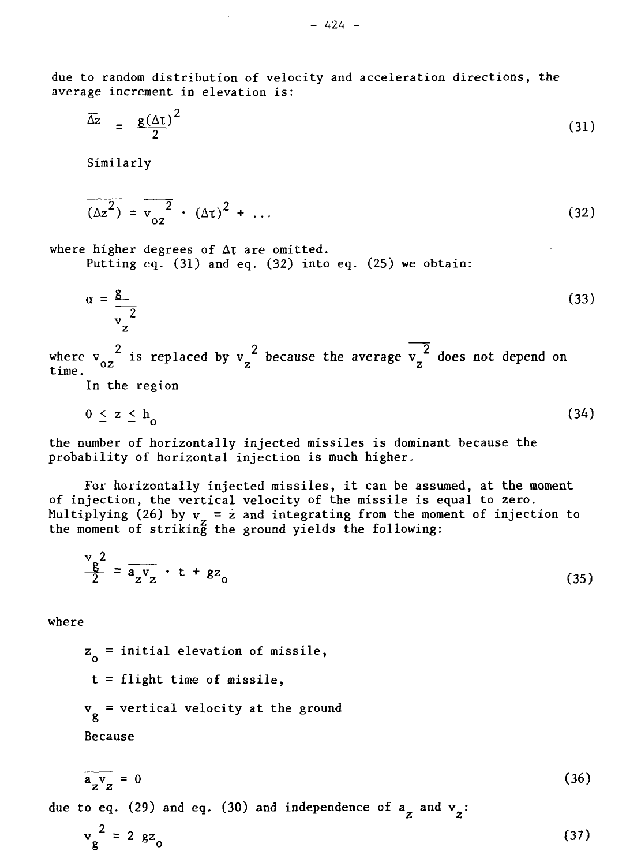due to random distribution of velocity and acceleration directions, the average increment in elevation is:

$$
\overline{\Delta z} = \frac{g(\Delta \tau)^2}{2} \tag{31}
$$

Similarly

$$
\overline{(\Delta z^2)} = \overline{v_{oz}^2} \cdot (\Delta \tau)^2 + \dots
$$
 (32)

where higher degrees of  $\Delta t$  are omitted.

Putting eq. (31) and eq. (32) into eq. (25) we obtain:

$$
\alpha = \frac{g}{v_z^2} \tag{33}
$$

 $2$  is replaced by  $\frac{2}{\pi}$  because the average  $\frac{2}{\pi}$  $\lim_{z \to 0}$   $\frac{0z}{z}$  is replaced by  $\lim_{z \to 0}$  and  $\lim_{z \to 0}$   $\lim_{z \to 0}$  on  $\lim_{z \to 0}$ 

In the region

$$
0 \le z \le h \tag{34}
$$

— — o the number of horizontally injected missiles is dominant because the probability of horizontal injection is much higher.

For horizontally injected missiles, it can be assumed, at the moment of injection, the vertical velocity of the missile is equal to zero. Multiplying (26) by  ${\tt v}$  =  ${\tt z}$  and integrating from the moment of injection to the moment of striking the ground yields the following:

$$
\frac{v_8^2}{2} = \overline{a_2 v_2} \cdot t + g z_0 \tag{35}
$$

where

z<sub>o</sub> = initial elevation of missile,  
\nt = flight time of missile,  
\nv<sub>g</sub> = vertical velocity at the ground  
\nBecause  
\n
$$
\overline{a_2v_2} = 0
$$
\n(36) and 98. (30) and independence of a and v:

due to eq. (29) and eq. (30) and independence of 
$$
a_{\overline{z}}
$$
 and  $v_{\overline{z}}$ :

$$
v_g^2 = 2 g z_0 \tag{37}
$$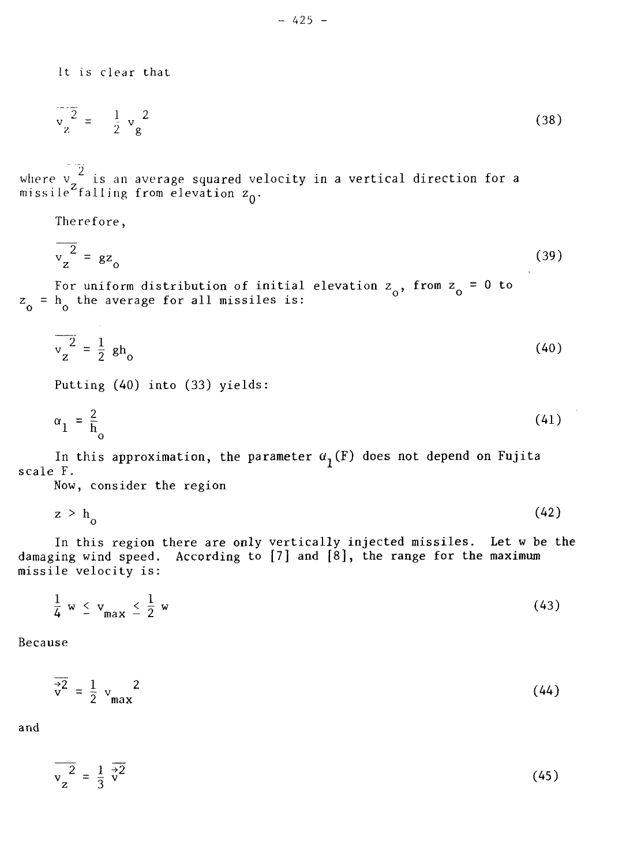It is clear that

$$
\frac{1}{2} \frac{1}{2} - \frac{1}{2} \frac{1}{2} \frac{2}{8}
$$
 (38)

where  $\mathsf{v} \subsetneq$  is an average squared velocity in a vertical direction for a missile falling from elevation  $z_0$ .

Therefore,

$$
\sqrt{\frac{2}{z}} = g z_0 \tag{39}
$$

For uniform distribution of initial elevation  $z_{\alpha}$ , from  $z_{\alpha} = 0$  to  $z_o$  =  $h_o$  the average for all missiles is:

$$
\frac{1}{v_z^2} = \frac{1}{2} h_0 \tag{40}
$$

Putting (40) into (33) yields:

$$
\alpha_1 = \frac{2}{h_0} \tag{41}
$$

In this approximation, the parameter  $a_1(F)$  does not depend on Fujita scale F.

Now, consider the region

$$
z \t b_0 \t (42)
$$

In this region there are only vertically injected missiles. Let w be the damaging wind speed. According to  $[7]$  and  $[8]$ , the range for the maximum missile velocity is:

$$
\frac{1}{4} w \leq v_{\text{max}} \leq \frac{1}{2} w \tag{43}
$$

Because

$$
\frac{1}{\sqrt{2}} = \frac{1}{2} v_{\text{max}}^2 \tag{44}
$$

and

$$
\overline{v_z^2} = \frac{1}{3} \overline{v^2}
$$
 (45)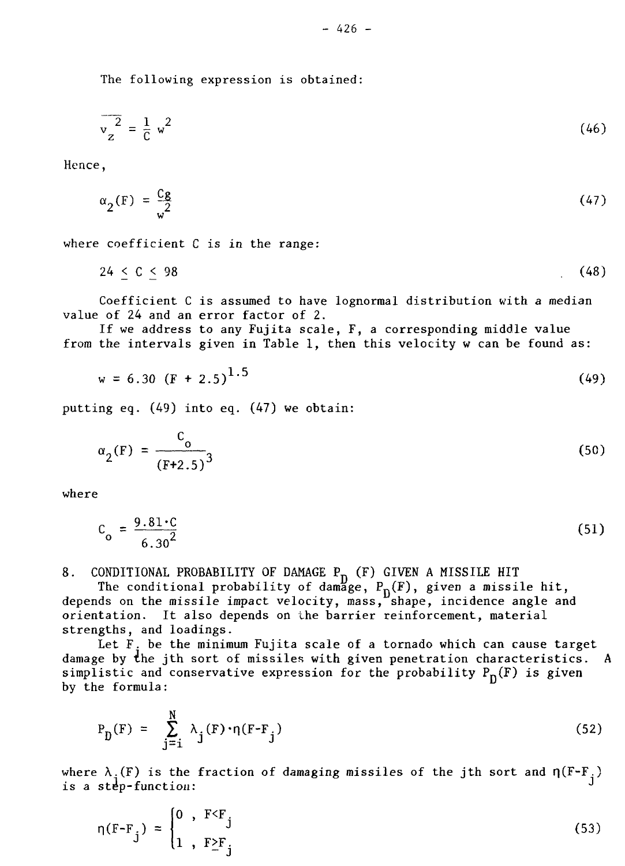The following expression is obtained:

$$
\overline{v_z^2} = \frac{1}{C} w^2
$$
 (46)

$$
\alpha_2(\mathbf{F}) = \frac{\mathbf{Cg}}{\mathbf{w}^2} \tag{47}
$$

where coefficient C is in the range:

$$
24 \leq C \leq 98 \tag{48}
$$

Coefficient C is assumed to have lognormal distribution with a median value of 24 and an error factor of 2.

If we address to any Fujita scale, F, a corresponding middle value from the intervals given in Table 1, then this velocity w can be found as:

$$
w = 6.30 \left( F + 2.5 \right)^{1.5} \tag{49}
$$

 $\mu_{\text{max}}$  (10)  $\pm$   $\mu_{\text{max}}$  (17)  $\mu_{\text{max}}$  the  $\mu_{\text{min}}$ 

$$
\alpha_2(F) = \frac{C_0}{(F+2.5)^3}
$$
 (50)

where

$$
C_0 = \frac{9.81 \cdot C}{6.30^2}
$$
 (51)

8. CONDITIONAL PROBABILITY OF DAMAGE P<sub>n</sub> (F) GIVEN A MISSILE HIT

The conditional probability of damage,  ${\tt P_n(F)}$ , given a missile hit, depends on the missile impact velocity, mass, shape, incidence angle and orientation. It also depends on the barrier reinforcement, material strengths, and loadings.

Let  $F_t$  be the minimum Fujita scale of a tornado which can cause target damage by the jth sort of missiles with given penetration characteristics. A simplistic and conservative expression for the probability  $P_n(F)$  is given by the formula:

$$
P_D(F) = \sum_{j=1}^{N} \lambda_j(F) \cdot \eta(F - F_j)
$$
 (52)

where  $\lambda_i(F)$  is the fraction of damaging missiles of the jth sort and  $\eta(F-F_i)$ is a step-function:

$$
\eta(\mathbf{F} - \mathbf{F}_j) = \begin{cases} 0, & \mathbf{F} < \mathbf{F}_j \\ 1, & \mathbf{F} \geq \mathbf{F}_j \end{cases} \tag{53}
$$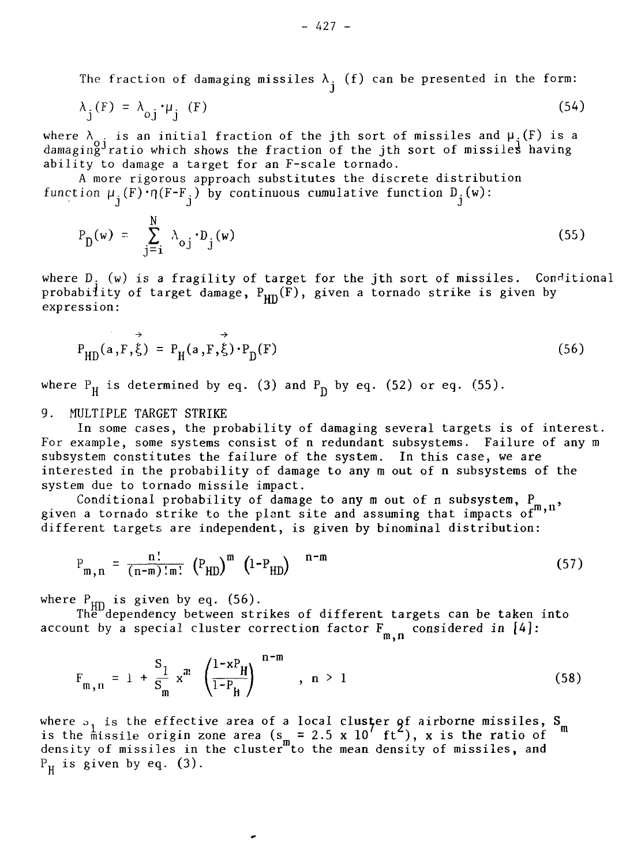The fraction of damaging missiles  $\lambda_i$  (f) can be presented in the form:

$$
\lambda_j(F) = \lambda_{0j} \cdot \mu_j(F) \tag{54}
$$

where  $\lambda_{\alpha}$  is an initial fraction of the jth sort of missiles and  $\mu_{\alpha}(F)$  is a damaging<sup>y</sup>ratio which shows the fraction of the jth sort of missiles having ability to damage a target for an F-scale tornado.

A more rigorous approach substitutes the discrete distribution function  $\mu_i(F) \cdot \eta(F-F_i)$  by continuous cumulative function  $D_i(w)$ :

$$
P_{\mathbf{D}}(\mathbf{w}) = \sum_{j=1}^{N} \lambda_{\mathbf{o},j} \cdot D_j(\mathbf{w})
$$
 (55)

where D. (w) is a fragility of target for the jth sort of missiles.  $\,$  Conditional  $\,$ probability of target damage, P<sub>un</sub>(F), given a tornado strike is given by expression:

$$
P_{HD}(a, F, \dot{\xi}) = P_H(a, F, \dot{\xi}) \cdot P_D(F)
$$
\n(56)

where  $P_H$  is determined by eq. (3) and  $P_D$  by eq. (52) or eq. (55).

# 9. MULTIPLE TARGET STRIKE

In some cases, the probability of damaging several targets is of interest. For example, some systems consist of n redundant subsystems. Failure of any m subsystem constitutes the failure of the system. In this case, we are interested in the probability of damage to any m out of n subsystems of the system due to tornado missile impact.

Conditional probability of damage to any m out of n subsystem,  $P_{\mu}$ given a tornado strike to the plant site and assuming that impacts of  $\binom{n}{m}$ ,  $\binom{n}{m}$ different targets are independent, is given by binominal distribution:

$$
P_{m,n} = \frac{n!}{(n-m)!m!} (P_{HD})^m (1-P_{HD})^{n-m}
$$
 (57)

where  $\rm P_{\rm \mu m}$  is given by eq. (56).

Thë dependency between strikes of different targets can be taken into account by a special cluster correction factor  $\mathbf{F}_{\alpha}$  considered in [4]:

$$
F_{m,n} = 1 + \frac{S_1}{S_m} x^m \left( \frac{1 - xP_H}{1 - P_H} \right)^{n-m}, \quad n > 1
$$
 (58)

where  $\mathfrak{b}_1$  is the effective area of a local cl**ust**er  $\mathsf{g} \mathsf{f}$  airborne missiles,  $\mathsf{S}$ is the missile origin zone area (s = 2.5 x 10′ ft  $^{\circ}$ ), x is the ratio of density of missiles in the cluster"to the mean density of missiles, and  $P_H$  is given by eq. (3).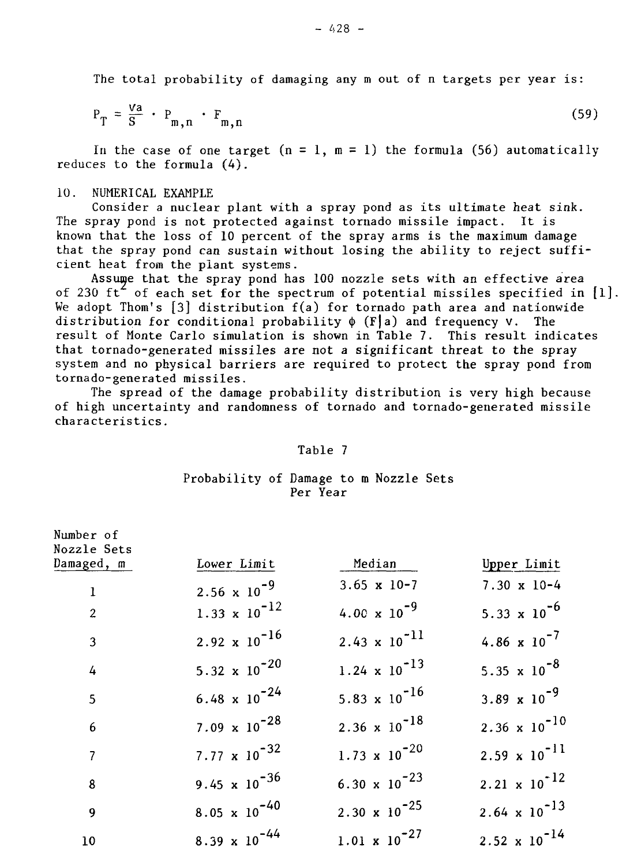The total probability of damaging any m out of n targets per year is:

$$
P_T = \frac{Va}{S} \cdot P_{m,n} \cdot F_{m,n} \tag{59}
$$

In the case of one target  $(n = 1, m = 1)$  the formula (56) automatically reduces to the formula (4).

### 10. NUMERICAL EXAMPLE

Consider a nuclear plant with a spray pond as its ultimate heat sink. The spray pond is not protected against tornado missile impact. It is known that the loss of 10 percent of the spray arms is the maximum damage that the spray pond can sustain without losing the ability to reject sufficient heat from the plant systems.

Assume that the spray pond has 100 nozzle sets with an effective area of 230 ft<sup>2</sup> of each set for the spectrum of potential missiles specified in  $[1]$ . We adopt Thom's [3] distribution  $f(a)$  for tornado path area and nationwide distribution for conditional probability  $\phi$  (F|a) and frequency V. The result of Monte Carlo simulation is shown in Table 7. This result indicates that tornado-generated missiles are not a significant threat to the spray system and no physical barriers are required to protect the spray pond from tornado-generated missiles.

The spread of the damage probability distribution is very high because of high uncertainty and randomness of tornado and tornado-generated missile characteristics.

### Table 7

# Probability of Damage to m Nozzle Sets Per Year

| Number of<br>Nozzle Sets |                                 |                                 |                                |
|--------------------------|---------------------------------|---------------------------------|--------------------------------|
| Damaged, m               | Lower Limit                     | Median                          | Upper Limit                    |
| $\mathbf 1$              | 2.56 $\times$ 10 <sup>-9</sup>  | $3.65 \times 10-7$              | $7.30 \times 10-4$             |
| $\overline{2}$           | $1.33 \times 10^{-12}$          | $4.00 \times 10^{-9}$           | 5.33 $\times$ 10 <sup>-6</sup> |
| 3                        | 2.92 $\times 10^{-16}$          | $2.43 \times 10^{-11}$          | 4.86 $\times 10^{-7}$          |
| $\overline{4}$           | 5.32 $\times 10^{-20}$          | $1.24 \times 10^{-13}$          | 5.35 $\times$ 10 <sup>-8</sup> |
| 5                        | $6.48 \times 10^{-24}$          | 5.83 $\times$ 10 <sup>-16</sup> | 3.89 $\times$ 10 <sup>-9</sup> |
| $6\phantom{1}$           | 7.09 $\times$ 10 <sup>-28</sup> | $2.36 \times 10^{-18}$          | $2.36 \times 10^{-10}$         |
| $\overline{7}$           | 7.77 $\times 10^{-32}$          | $1.73 \times 10^{-20}$          | $2.59 \times 10^{-11}$         |
| 8                        | 9.45 $\times$ 10 <sup>-36</sup> | 6.30 $\times$ 10 <sup>-23</sup> | $2.21 \times 10^{-12}$         |
| 9                        | $8.05 \times 10^{-40}$          | 2.30 $\times 10^{-25}$          | $2.64 \times 10^{-13}$         |
| 10                       | $8.39 \times 10^{-44}$          | $1.01 \times 10^{-27}$          | $2.52 \times 10^{-14}$         |